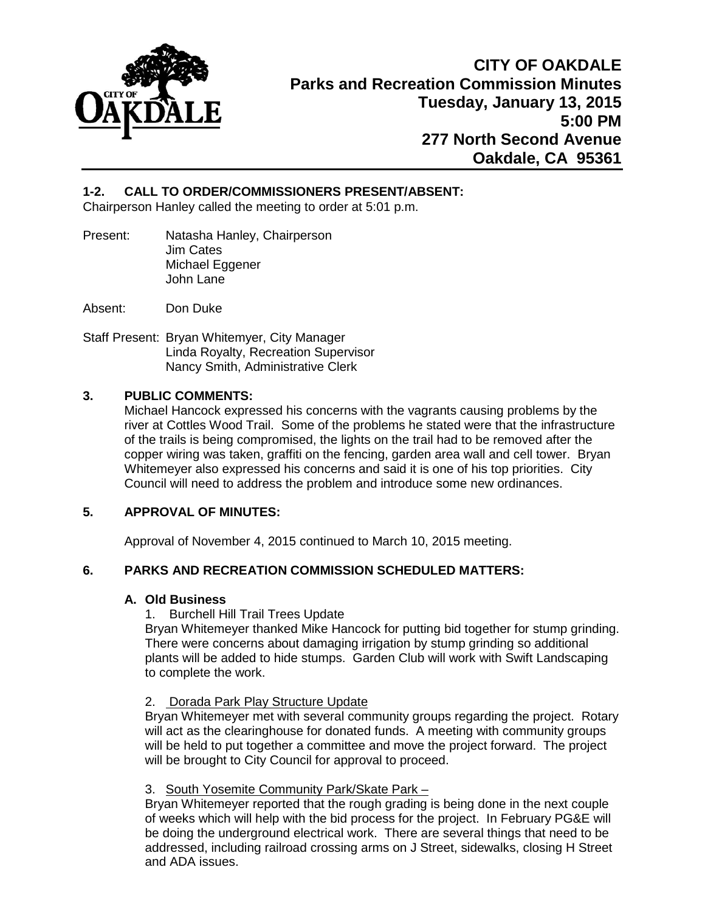

# **1-2. CALL TO ORDER/COMMISSIONERS PRESENT/ABSENT:**

Chairperson Hanley called the meeting to order at 5:01 p.m.

Present: Natasha Hanley, Chairperson Jim Cates Michael Eggener John Lane

Absent: Don Duke

Staff Present: Bryan Whitemyer, City Manager Linda Royalty, Recreation Supervisor Nancy Smith, Administrative Clerk

## **3. PUBLIC COMMENTS:**

Michael Hancock expressed his concerns with the vagrants causing problems by the river at Cottles Wood Trail. Some of the problems he stated were that the infrastructure of the trails is being compromised, the lights on the trail had to be removed after the copper wiring was taken, graffiti on the fencing, garden area wall and cell tower. Bryan Whitemeyer also expressed his concerns and said it is one of his top priorities. City Council will need to address the problem and introduce some new ordinances.

## **5. APPROVAL OF MINUTES:**

Approval of November 4, 2015 continued to March 10, 2015 meeting.

## **6. PARKS AND RECREATION COMMISSION SCHEDULED MATTERS:**

### **A. Old Business**

1. Burchell Hill Trail Trees Update

Bryan Whitemeyer thanked Mike Hancock for putting bid together for stump grinding. There were concerns about damaging irrigation by stump grinding so additional plants will be added to hide stumps. Garden Club will work with Swift Landscaping to complete the work.

### 2. Dorada Park Play Structure Update

Bryan Whitemeyer met with several community groups regarding the project. Rotary will act as the clearinghouse for donated funds. A meeting with community groups will be held to put together a committee and move the project forward. The project will be brought to City Council for approval to proceed.

### 3. South Yosemite Community Park/Skate Park –

Bryan Whitemeyer reported that the rough grading is being done in the next couple of weeks which will help with the bid process for the project. In February PG&E will be doing the underground electrical work. There are several things that need to be addressed, including railroad crossing arms on J Street, sidewalks, closing H Street and ADA issues.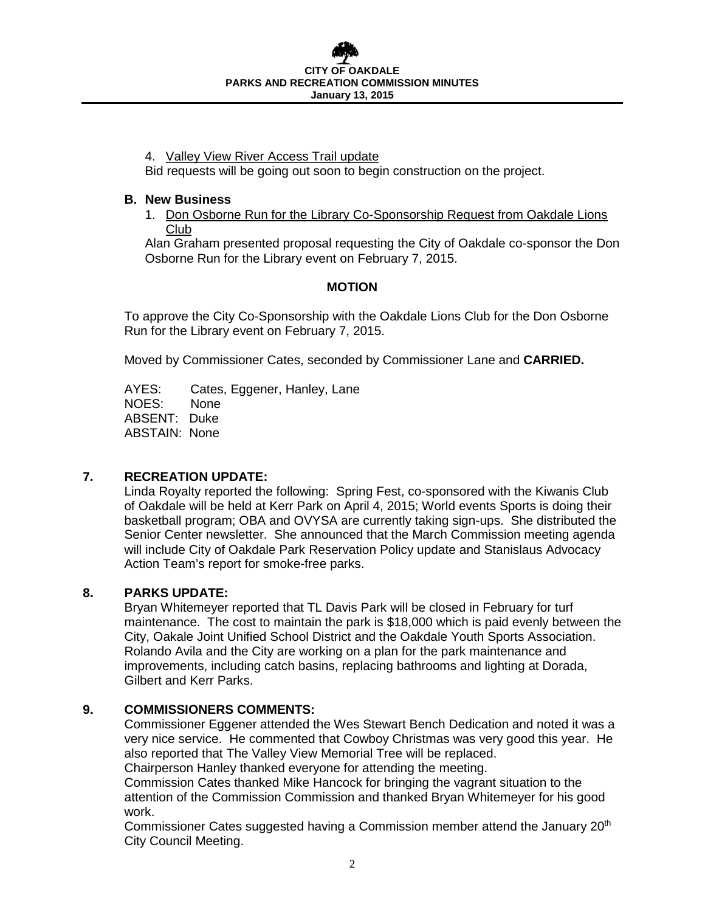## 4. Valley View River Access Trail update

Bid requests will be going out soon to begin construction on the project.

## **B. New Business**

1. Don Osborne Run for the Library Co-Sponsorship Request from Oakdale Lions Club

Alan Graham presented proposal requesting the City of Oakdale co-sponsor the Don Osborne Run for the Library event on February 7, 2015.

# **MOTION**

To approve the City Co-Sponsorship with the Oakdale Lions Club for the Don Osborne Run for the Library event on February 7, 2015.

Moved by Commissioner Cates, seconded by Commissioner Lane and **CARRIED.** 

AYES: Cates, Eggener, Hanley, Lane NOES: None ABSENT: Duke ABSTAIN: None

## **7. RECREATION UPDATE:**

Linda Royalty reported the following: Spring Fest, co-sponsored with the Kiwanis Club of Oakdale will be held at Kerr Park on April 4, 2015; World events Sports is doing their basketball program; OBA and OVYSA are currently taking sign-ups. She distributed the Senior Center newsletter. She announced that the March Commission meeting agenda will include City of Oakdale Park Reservation Policy update and Stanislaus Advocacy Action Team's report for smoke-free parks.

## **8. PARKS UPDATE:**

Bryan Whitemeyer reported that TL Davis Park will be closed in February for turf maintenance. The cost to maintain the park is \$18,000 which is paid evenly between the City, Oakale Joint Unified School District and the Oakdale Youth Sports Association. Rolando Avila and the City are working on a plan for the park maintenance and improvements, including catch basins, replacing bathrooms and lighting at Dorada, Gilbert and Kerr Parks.

# **9. COMMISSIONERS COMMENTS:**

Commissioner Eggener attended the Wes Stewart Bench Dedication and noted it was a very nice service. He commented that Cowboy Christmas was very good this year. He also reported that The Valley View Memorial Tree will be replaced.

Chairperson Hanley thanked everyone for attending the meeting.

Commission Cates thanked Mike Hancock for bringing the vagrant situation to the attention of the Commission Commission and thanked Bryan Whitemeyer for his good work.

Commissioner Cates suggested having a Commission member attend the January 20<sup>th</sup> City Council Meeting.